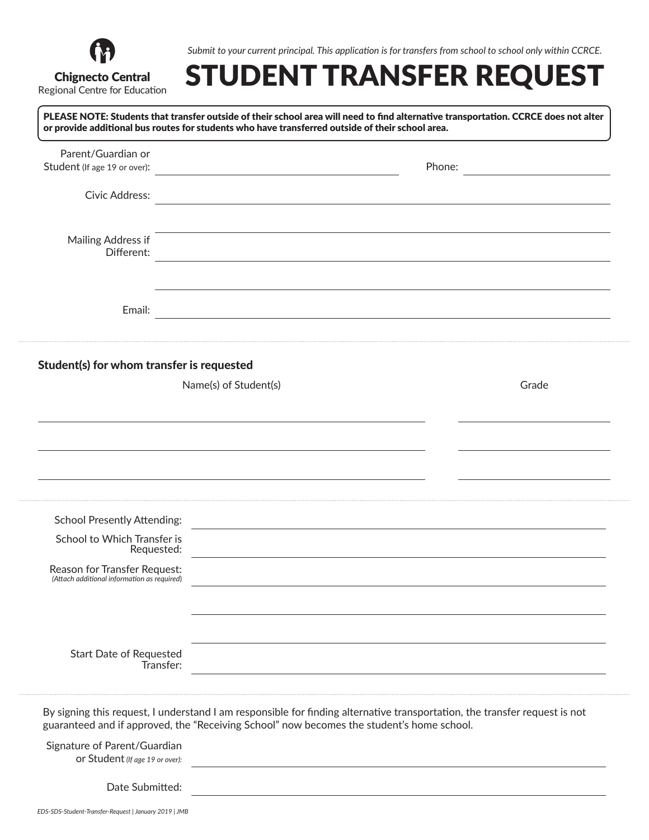

*Submit to your current principal. This application is for transfers from school to school only within CCRCE.*

## STUDENT TRANSFER REQUEST

PLEASE NOTE: Students that transfer outside of their school area will need to find alternative transportation. CCRCE does not alter or provide additional bus routes for students who have transferred outside of their school area.

| Parent/Guardian or                                                              |                                                                                           |                                                                                                                            |                                       |
|---------------------------------------------------------------------------------|-------------------------------------------------------------------------------------------|----------------------------------------------------------------------------------------------------------------------------|---------------------------------------|
| Student (If age 19 or over):                                                    |                                                                                           | Phone:                                                                                                                     | <u> 1990 - John Barn Barn, mars a</u> |
|                                                                                 |                                                                                           |                                                                                                                            |                                       |
| Civic Address:                                                                  | <u> 1980 - Jan Barbara, martxa al II-lea (h. 1980).</u>                                   |                                                                                                                            |                                       |
| Mailing Address if                                                              |                                                                                           | the contract of the contract of the contract of the contract of the contract of the contract of the contract of            |                                       |
| Different:                                                                      |                                                                                           | <u> 1989 - Johann Barn, amerikansk politiker (d. 1989)</u>                                                                 |                                       |
| Email:                                                                          |                                                                                           |                                                                                                                            |                                       |
| Student(s) for whom transfer is requested                                       |                                                                                           |                                                                                                                            |                                       |
|                                                                                 | Name(s) of Student(s)                                                                     |                                                                                                                            | Grade                                 |
|                                                                                 |                                                                                           |                                                                                                                            |                                       |
|                                                                                 |                                                                                           |                                                                                                                            |                                       |
|                                                                                 |                                                                                           |                                                                                                                            |                                       |
|                                                                                 |                                                                                           |                                                                                                                            |                                       |
|                                                                                 |                                                                                           |                                                                                                                            |                                       |
| <b>School Presently Attending:</b><br>School to Which Transfer is<br>Requested: |                                                                                           | <u> 1989 - John Stein, Amerikaansk konstantinopler († 1989)</u>                                                            |                                       |
| Reason for Transfer Request:<br>(Attach additional information as required)     |                                                                                           |                                                                                                                            |                                       |
|                                                                                 |                                                                                           |                                                                                                                            |                                       |
|                                                                                 |                                                                                           |                                                                                                                            |                                       |
| <b>Start Date of Requested</b>                                                  | Transfer:                                                                                 |                                                                                                                            |                                       |
|                                                                                 | guaranteed and if approved, the "Receiving School" now becomes the student's home school. | By signing this request, I understand I am responsible for finding alternative transportation, the transfer request is not |                                       |
| Signature of Parent/Guardian<br>or Student (If age 19 or over):                 |                                                                                           |                                                                                                                            |                                       |